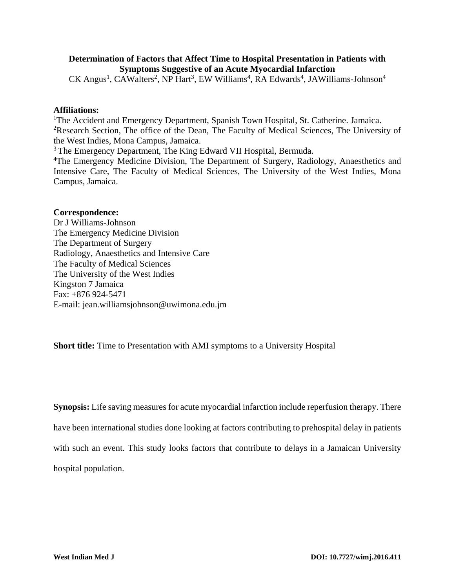# **Determination of Factors that Affect Time to Hospital Presentation in Patients with Symptoms Suggestive of an Acute Myocardial Infarction**

CK Angus<sup>1</sup>, CAWalters<sup>2</sup>, NP Hart<sup>3</sup>, EW Williams<sup>4</sup>, RA Edwards<sup>4</sup>, JAWilliams-Johnson<sup>4</sup>

## **Affiliations:**

<sup>1</sup>The Accident and Emergency Department, Spanish Town Hospital, St. Catherine. Jamaica. <sup>2</sup>Research Section, The office of the Dean, The Faculty of Medical Sciences, The University of the West Indies, Mona Campus, Jamaica.

<sup>3</sup> The Emergency Department, The King Edward VII Hospital, Bermuda.

<sup>4</sup>The Emergency Medicine Division, The Department of Surgery, Radiology, Anaesthetics and Intensive Care, The Faculty of Medical Sciences, The University of the West Indies, Mona Campus, Jamaica.

## **Correspondence:**

Dr J Williams-Johnson The Emergency Medicine Division The Department of Surgery Radiology, Anaesthetics and Intensive Care The Faculty of Medical Sciences The University of the West Indies Kingston 7 Jamaica Fax: +876 924-5471 E-mail: [jean.williamsjohnson@uwimona.edu.jm](mailto:jean.williamsjohnson@uwimona.edu.jm)

**Short title:** Time to Presentation with AMI symptoms to a University Hospital

**Synopsis:** Life saving measures for acute myocardial infarction include reperfusion therapy. There have been international studies done looking at factors contributing to prehospital delay in patients with such an event. This study looks factors that contribute to delays in a Jamaican University hospital population.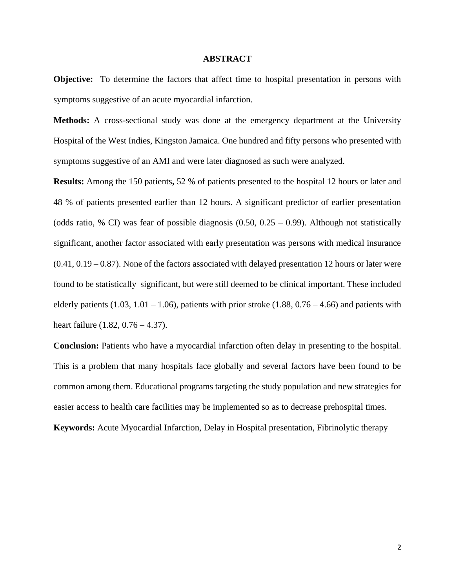#### **ABSTRACT**

**Objective:** To determine the factors that affect time to hospital presentation in persons with symptoms suggestive of an acute myocardial infarction.

**Methods:** A cross-sectional study was done at the emergency department at the University Hospital of the West Indies, Kingston Jamaica. One hundred and fifty persons who presented with symptoms suggestive of an AMI and were later diagnosed as such were analyzed.

**Results:** Among the 150 patients**,** 52 % of patients presented to the hospital 12 hours or later and 48 % of patients presented earlier than 12 hours. A significant predictor of earlier presentation (odds ratio, % CI) was fear of possible diagnosis  $(0.50, 0.25 - 0.99)$ . Although not statistically significant, another factor associated with early presentation was persons with medical insurance  $(0.41, 0.19 - 0.87)$ . None of the factors associated with delayed presentation 12 hours or later were found to be statistically significant, but were still deemed to be clinical important. These included elderly patients (1.03, 1.01 – 1.06), patients with prior stroke (1.88,  $0.76 - 4.66$ ) and patients with heart failure (1.82, 0.76 – 4.37).

**Conclusion:** Patients who have a myocardial infarction often delay in presenting to the hospital. This is a problem that many hospitals face globally and several factors have been found to be common among them. Educational programs targeting the study population and new strategies for easier access to health care facilities may be implemented so as to decrease prehospital times.

**Keywords:** Acute Myocardial Infarction, Delay in Hospital presentation, Fibrinolytic therapy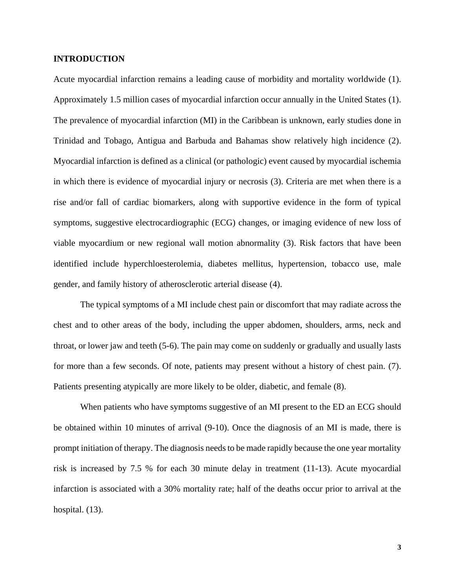### **INTRODUCTION**

Acute myocardial infarction remains a leading cause of morbidity and mortality worldwide (1). Approximately 1.5 million cases of myocardial infarction occur annually in the United States (1). The prevalence of myocardial infarction (MI) in the Caribbean is unknown, early studies done in Trinidad and Tobago, Antigua and Barbuda and Bahamas show relatively high incidence (2). Myocardial infarction is defined as a clinical (or pathologic) event caused by myocardial ischemia in which there is evidence of myocardial injury or necrosis (3). Criteria are met when there is a rise and/or fall of cardiac biomarkers, along with supportive evidence in the form of typical symptoms, suggestive electrocardiographic (ECG) changes, or imaging evidence of new loss of viable myocardium or new regional wall motion abnormality (3). Risk factors that have been identified include hyperchloesterolemia, diabetes mellitus, hypertension, tobacco use, male gender, and family history of atherosclerotic arterial disease (4).

The typical symptoms of a MI include chest pain or discomfort that may radiate across the chest and to other areas of the body, including the upper abdomen, shoulders, arms, neck and throat, or lower jaw and teeth (5-6). The pain may come on suddenly or gradually and usually lasts for more than a few seconds. Of note, patients may present without a history of chest pain. (7). Patients presenting atypically are more likely to be older, diabetic, and female (8).

When patients who have symptoms suggestive of an MI present to the ED an ECG should be obtained within 10 minutes of arrival (9-10). Once the diagnosis of an MI is made, there is prompt initiation of therapy. The diagnosis needs to be made rapidly because the one year mortality risk is increased by 7.5 % for each 30 minute delay in treatment (11-13). Acute myocardial infarction is associated with a 30% mortality rate; half of the deaths occur prior to arrival at the hospital.  $(13)$ .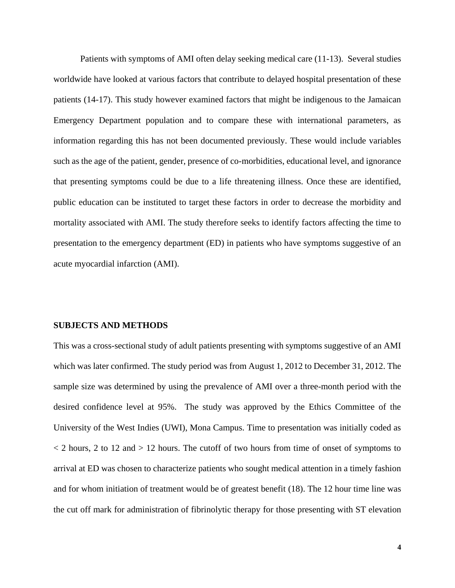Patients with symptoms of AMI often delay seeking medical care (11-13). Several studies worldwide have looked at various factors that contribute to delayed hospital presentation of these patients (14-17). This study however examined factors that might be indigenous to the Jamaican Emergency Department population and to compare these with international parameters, as information regarding this has not been documented previously. These would include variables such as the age of the patient, gender, presence of co-morbidities, educational level, and ignorance that presenting symptoms could be due to a life threatening illness. Once these are identified, public education can be instituted to target these factors in order to decrease the morbidity and mortality associated with AMI. The study therefore seeks to identify factors affecting the time to presentation to the emergency department (ED) in patients who have symptoms suggestive of an acute myocardial infarction (AMI).

#### **SUBJECTS AND METHODS**

This was a cross-sectional study of adult patients presenting with symptoms suggestive of an AMI which was later confirmed. The study period was from August 1, 2012 to December 31, 2012. The sample size was determined by using the prevalence of AMI over a three-month period with the desired confidence level at 95%. The study was approved by the Ethics Committee of the University of the West Indies (UWI), Mona Campus. Time to presentation was initially coded as  $\langle$  2 hours, 2 to 12 and  $>$  12 hours. The cutoff of two hours from time of onset of symptoms to arrival at ED was chosen to characterize patients who sought medical attention in a timely fashion and for whom initiation of treatment would be of greatest benefit (18). The 12 hour time line was the cut off mark for administration of fibrinolytic therapy for those presenting with ST elevation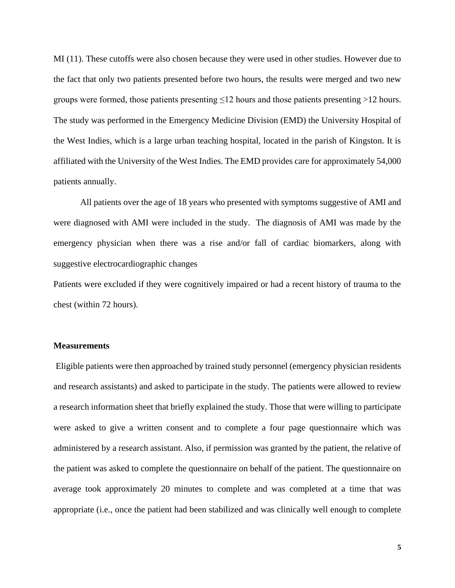MI (11). These cutoffs were also chosen because they were used in other studies. However due to the fact that only two patients presented before two hours, the results were merged and two new groups were formed, those patients presenting  $\leq 12$  hours and those patients presenting  $> 12$  hours. The study was performed in the Emergency Medicine Division (EMD) the University Hospital of the West Indies, which is a large urban teaching hospital, located in the parish of Kingston. It is affiliated with the University of the West Indies. The EMD provides care for approximately 54,000 patients annually.

All patients over the age of 18 years who presented with symptoms suggestive of AMI and were diagnosed with AMI were included in the study. The diagnosis of AMI was made by the emergency physician when there was a rise and/or fall of cardiac biomarkers, along with suggestive electrocardiographic changes

Patients were excluded if they were cognitively impaired or had a recent history of trauma to the chest (within 72 hours).

### **Measurements**

Eligible patients were then approached by trained study personnel (emergency physician residents and research assistants) and asked to participate in the study. The patients were allowed to review a research information sheet that briefly explained the study. Those that were willing to participate were asked to give a written consent and to complete a four page questionnaire which was administered by a research assistant. Also, if permission was granted by the patient, the relative of the patient was asked to complete the questionnaire on behalf of the patient. The questionnaire on average took approximately 20 minutes to complete and was completed at a time that was appropriate (i.e., once the patient had been stabilized and was clinically well enough to complete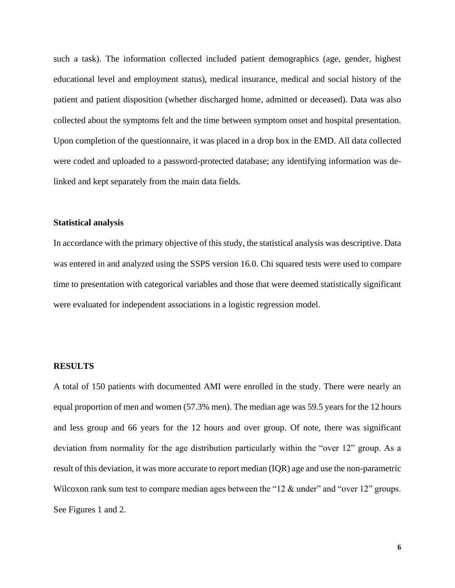such a task). The information collected included patient demographics (age, gender, highest educational level and employment status), medical insurance, medical and social history of the patient and patient disposition (whether discharged home, admitted or deceased). Data was also collected about the symptoms felt and the time between symptom onset and hospital presentation. Upon completion of the questionnaire, it was placed in a drop box in the EMD. All data collected were coded and uploaded to a password-protected database; any identifying information was delinked and kept separately from the main data fields.

### **Statistical analysis**

In accordance with the primary objective of this study, the statistical analysis was descriptive. Data was entered in and analyzed using the SSPS version 16.0. Chi squared tests were used to compare time to presentation with categorical variables and those that were deemed statistically significant were evaluated for independent associations in a logistic regression model.

#### **RESULTS**

A total of 150 patients with documented AMI were enrolled in the study. There were nearly an equal proportion of men and women (57.3% men). The median age was 59.5 years for the 12 hours and less group and 66 years for the 12 hours and over group. Of note, there was significant deviation from normality for the age distribution particularly within the "over 12" group. As a result of this deviation, it was more accurate to report median (IQR) age and use the non-parametric Wilcoxon rank sum test to compare median ages between the "12  $\&$  under" and "over 12" groups. See Figures 1 and 2.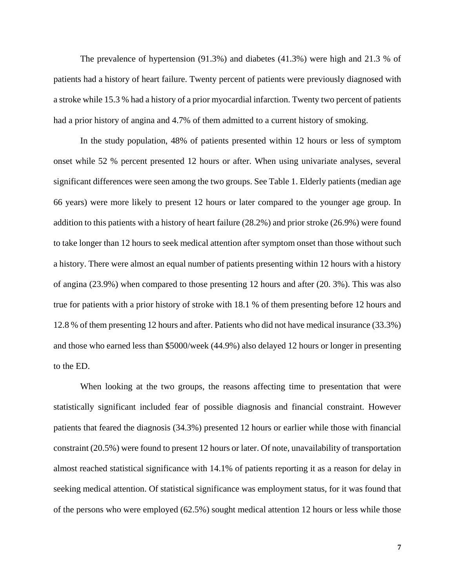The prevalence of hypertension (91.3%) and diabetes (41.3%) were high and 21.3 % of patients had a history of heart failure. Twenty percent of patients were previously diagnosed with a stroke while 15.3 % had a history of a prior myocardial infarction. Twenty two percent of patients had a prior history of angina and 4.7% of them admitted to a current history of smoking.

In the study population, 48% of patients presented within 12 hours or less of symptom onset while 52 % percent presented 12 hours or after. When using univariate analyses, several significant differences were seen among the two groups. See Table 1. Elderly patients (median age 66 years) were more likely to present 12 hours or later compared to the younger age group. In addition to this patients with a history of heart failure (28.2%) and prior stroke (26.9%) were found to take longer than 12 hours to seek medical attention after symptom onset than those without such a history. There were almost an equal number of patients presenting within 12 hours with a history of angina (23.9%) when compared to those presenting 12 hours and after (20. 3%). This was also true for patients with a prior history of stroke with 18.1 % of them presenting before 12 hours and 12.8 % of them presenting 12 hours and after. Patients who did not have medical insurance (33.3%) and those who earned less than \$5000/week (44.9%) also delayed 12 hours or longer in presenting to the ED.

When looking at the two groups, the reasons affecting time to presentation that were statistically significant included fear of possible diagnosis and financial constraint. However patients that feared the diagnosis (34.3%) presented 12 hours or earlier while those with financial constraint (20.5%) were found to present 12 hours or later. Of note, unavailability of transportation almost reached statistical significance with 14.1% of patients reporting it as a reason for delay in seeking medical attention. Of statistical significance was employment status, for it was found that of the persons who were employed (62.5%) sought medical attention 12 hours or less while those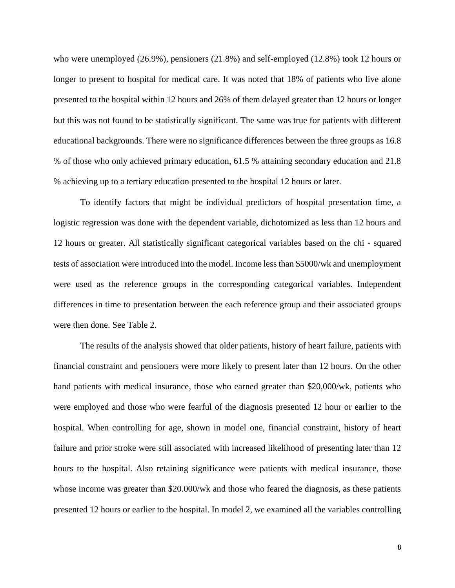who were unemployed (26.9%), pensioners (21.8%) and self-employed (12.8%) took 12 hours or longer to present to hospital for medical care. It was noted that 18% of patients who live alone presented to the hospital within 12 hours and 26% of them delayed greater than 12 hours or longer but this was not found to be statistically significant. The same was true for patients with different educational backgrounds. There were no significance differences between the three groups as 16.8 % of those who only achieved primary education, 61.5 % attaining secondary education and 21.8 % achieving up to a tertiary education presented to the hospital 12 hours or later.

To identify factors that might be individual predictors of hospital presentation time, a logistic regression was done with the dependent variable, dichotomized as less than 12 hours and 12 hours or greater. All statistically significant categorical variables based on the chi - squared tests of association were introduced into the model. Income less than \$5000/wk and unemployment were used as the reference groups in the corresponding categorical variables. Independent differences in time to presentation between the each reference group and their associated groups were then done. See Table 2.

The results of the analysis showed that older patients, history of heart failure, patients with financial constraint and pensioners were more likely to present later than 12 hours. On the other hand patients with medical insurance, those who earned greater than \$20,000/wk, patients who were employed and those who were fearful of the diagnosis presented 12 hour or earlier to the hospital. When controlling for age, shown in model one, financial constraint, history of heart failure and prior stroke were still associated with increased likelihood of presenting later than 12 hours to the hospital. Also retaining significance were patients with medical insurance, those whose income was greater than \$20.000/wk and those who feared the diagnosis, as these patients presented 12 hours or earlier to the hospital. In model 2, we examined all the variables controlling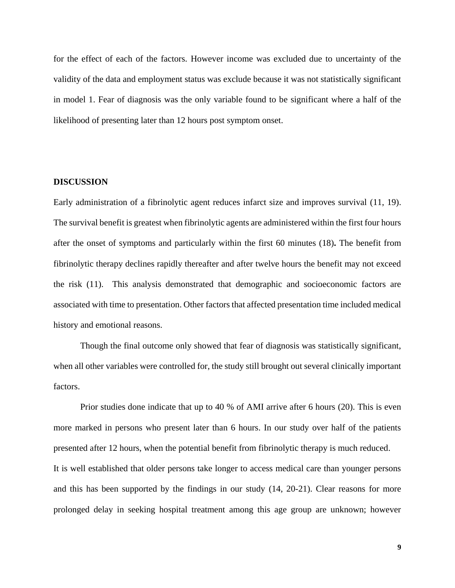for the effect of each of the factors. However income was excluded due to uncertainty of the validity of the data and employment status was exclude because it was not statistically significant in model 1. Fear of diagnosis was the only variable found to be significant where a half of the likelihood of presenting later than 12 hours post symptom onset.

### **DISCUSSION**

Early administration of a fibrinolytic agent reduces infarct size and improves survival (11, 19). The survival benefit is greatest when fibrinolytic agents are administered within the first four hours after the onset of symptoms and particularly within the first 60 minutes (18)**.** The benefit from fibrinolytic therapy declines rapidly thereafter and after twelve hours the benefit may not exceed the risk (11). This analysis demonstrated that demographic and socioeconomic factors are associated with time to presentation. Other factors that affected presentation time included medical history and emotional reasons.

Though the final outcome only showed that fear of diagnosis was statistically significant, when all other variables were controlled for, the study still brought out several clinically important factors.

Prior studies done indicate that up to 40 % of AMI arrive after 6 hours (20). This is even more marked in persons who present later than 6 hours. In our study over half of the patients presented after 12 hours, when the potential benefit from fibrinolytic therapy is much reduced. It is well established that older persons take longer to access medical care than younger persons and this has been supported by the findings in our study (14, 20-21). Clear reasons for more prolonged delay in seeking hospital treatment among this age group are unknown; however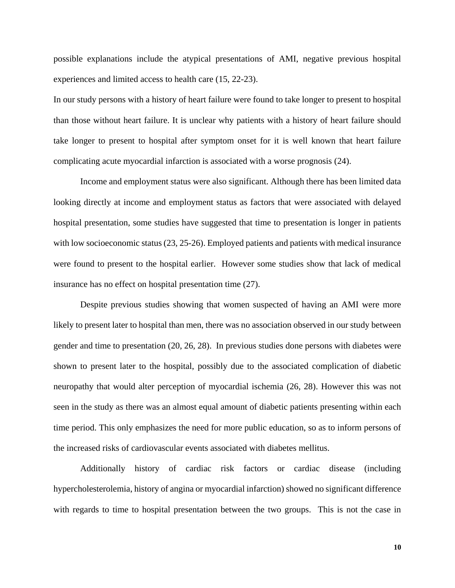possible explanations include the atypical presentations of AMI, negative previous hospital experiences and limited access to health care (15, 22-23).

In our study persons with a history of heart failure were found to take longer to present to hospital than those without heart failure. It is unclear why patients with a history of heart failure should take longer to present to hospital after symptom onset for it is well known that heart failure complicating acute myocardial infarction is associated with a worse prognosis (24).

Income and employment status were also significant. Although there has been limited data looking directly at income and employment status as factors that were associated with delayed hospital presentation, some studies have suggested that time to presentation is longer in patients with low socioeconomic status (23, 25-26). Employed patients and patients with medical insurance were found to present to the hospital earlier. However some studies show that lack of medical insurance has no effect on hospital presentation time (27).

Despite previous studies showing that women suspected of having an AMI were more likely to present later to hospital than men, there was no association observed in our study between gender and time to presentation (20, 26, 28). In previous studies done persons with diabetes were shown to present later to the hospital, possibly due to the associated complication of diabetic neuropathy that would alter perception of myocardial ischemia (26, 28). However this was not seen in the study as there was an almost equal amount of diabetic patients presenting within each time period. This only emphasizes the need for more public education, so as to inform persons of the increased risks of cardiovascular events associated with diabetes mellitus.

Additionally history of cardiac risk factors or cardiac disease (including hypercholesterolemia, history of angina or myocardial infarction) showed no significant difference with regards to time to hospital presentation between the two groups. This is not the case in

**10**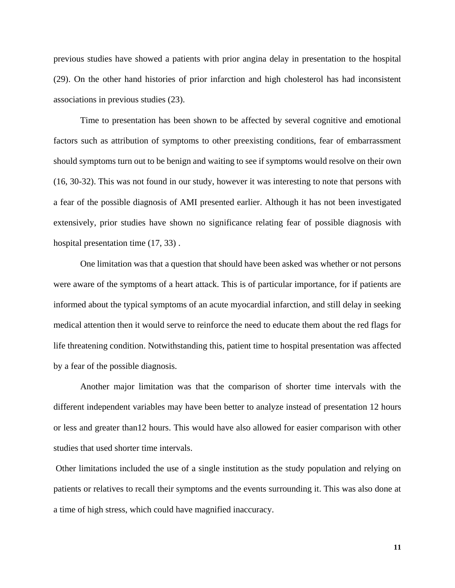previous studies have showed a patients with prior angina delay in presentation to the hospital (29). On the other hand histories of prior infarction and high cholesterol has had inconsistent associations in previous studies (23).

Time to presentation has been shown to be affected by several cognitive and emotional factors such as attribution of symptoms to other preexisting conditions, fear of embarrassment should symptoms turn out to be benign and waiting to see if symptoms would resolve on their own (16, 30-32). This was not found in our study, however it was interesting to note that persons with a fear of the possible diagnosis of AMI presented earlier. Although it has not been investigated extensively, prior studies have shown no significance relating fear of possible diagnosis with hospital presentation time  $(17, 33)$ .

One limitation was that a question that should have been asked was whether or not persons were aware of the symptoms of a heart attack. This is of particular importance, for if patients are informed about the typical symptoms of an acute myocardial infarction, and still delay in seeking medical attention then it would serve to reinforce the need to educate them about the red flags for life threatening condition. Notwithstanding this, patient time to hospital presentation was affected by a fear of the possible diagnosis.

Another major limitation was that the comparison of shorter time intervals with the different independent variables may have been better to analyze instead of presentation 12 hours or less and greater than12 hours. This would have also allowed for easier comparison with other studies that used shorter time intervals.

Other limitations included the use of a single institution as the study population and relying on patients or relatives to recall their symptoms and the events surrounding it. This was also done at a time of high stress, which could have magnified inaccuracy.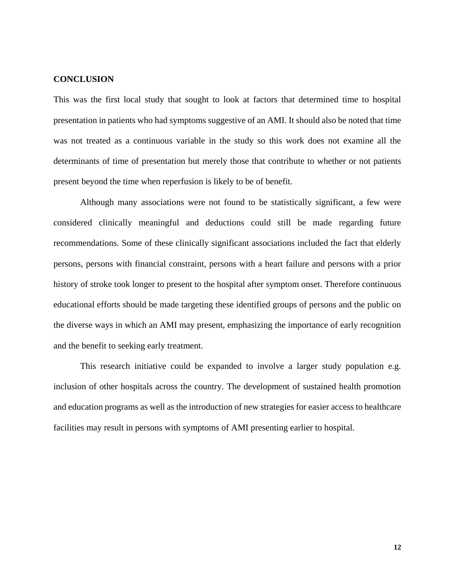#### **CONCLUSION**

This was the first local study that sought to look at factors that determined time to hospital presentation in patients who had symptoms suggestive of an AMI. It should also be noted that time was not treated as a continuous variable in the study so this work does not examine all the determinants of time of presentation but merely those that contribute to whether or not patients present beyond the time when reperfusion is likely to be of benefit.

Although many associations were not found to be statistically significant, a few were considered clinically meaningful and deductions could still be made regarding future recommendations. Some of these clinically significant associations included the fact that elderly persons, persons with financial constraint, persons with a heart failure and persons with a prior history of stroke took longer to present to the hospital after symptom onset. Therefore continuous educational efforts should be made targeting these identified groups of persons and the public on the diverse ways in which an AMI may present, emphasizing the importance of early recognition and the benefit to seeking early treatment.

This research initiative could be expanded to involve a larger study population e.g. inclusion of other hospitals across the country. The development of sustained health promotion and education programs as well as the introduction of new strategies for easier access to healthcare facilities may result in persons with symptoms of AMI presenting earlier to hospital.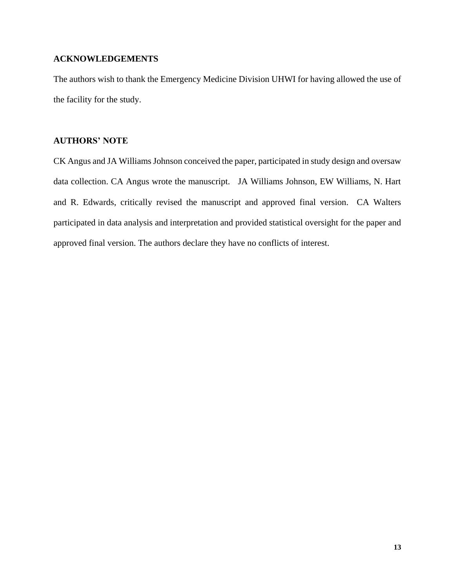# **ACKNOWLEDGEMENTS**

The authors wish to thank the Emergency Medicine Division UHWI for having allowed the use of the facility for the study.

# **AUTHORS' NOTE**

CK Angus and JA Williams Johnson conceived the paper, participated in study design and oversaw data collection. CA Angus wrote the manuscript. JA Williams Johnson, EW Williams, N. Hart and R. Edwards, critically revised the manuscript and approved final version. CA Walters participated in data analysis and interpretation and provided statistical oversight for the paper and approved final version. The authors declare they have no conflicts of interest.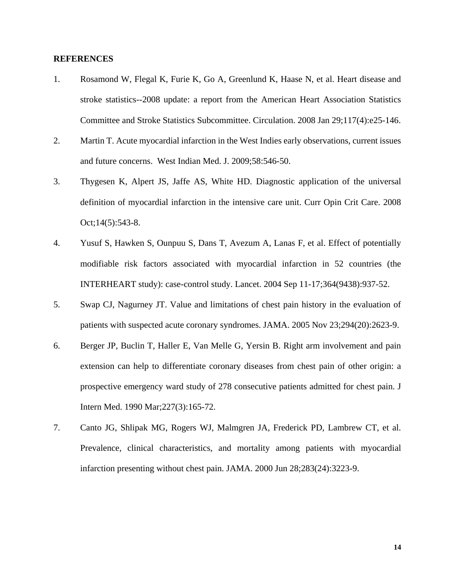### **REFERENCES**

- 1. Rosamond W, Flegal K, Furie K, Go A, Greenlund K, Haase N, et al. Heart disease and stroke statistics--2008 update: a report from the American Heart Association Statistics Committee and Stroke Statistics Subcommittee. Circulation. 2008 Jan 29;117(4):e25-146.
- 2. Martin T. Acute myocardial infarction in the West Indies early observations, current issues and future concerns. West Indian Med. J. 2009;58:546-50.
- 3. Thygesen K, Alpert JS, Jaffe AS, White HD. Diagnostic application of the universal definition of myocardial infarction in the intensive care unit. Curr Opin Crit Care. 2008 Oct;14(5):543-8.
- 4. Yusuf S, Hawken S, Ounpuu S, Dans T, Avezum A, Lanas F, et al. Effect of potentially modifiable risk factors associated with myocardial infarction in 52 countries (the INTERHEART study): case-control study. Lancet. 2004 Sep 11-17;364(9438):937-52.
- 5. Swap CJ, Nagurney JT. Value and limitations of chest pain history in the evaluation of patients with suspected acute coronary syndromes. JAMA. 2005 Nov 23;294(20):2623-9.
- 6. Berger JP, Buclin T, Haller E, Van Melle G, Yersin B. Right arm involvement and pain extension can help to differentiate coronary diseases from chest pain of other origin: a prospective emergency ward study of 278 consecutive patients admitted for chest pain. J Intern Med. 1990 Mar;227(3):165-72.
- 7. Canto JG, Shlipak MG, Rogers WJ, Malmgren JA, Frederick PD, Lambrew CT, et al. Prevalence, clinical characteristics, and mortality among patients with myocardial infarction presenting without chest pain. JAMA. 2000 Jun 28;283(24):3223-9.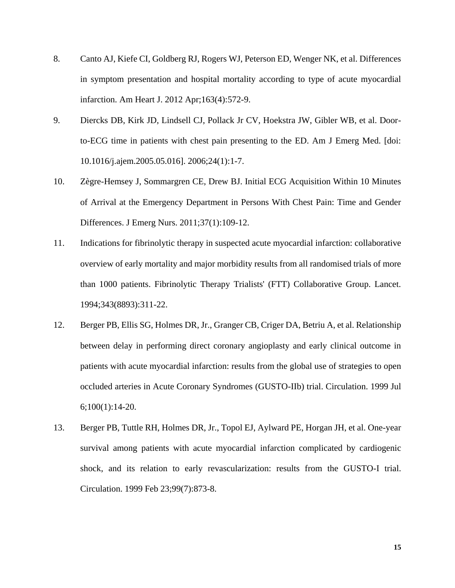- 8. Canto AJ, Kiefe CI, Goldberg RJ, Rogers WJ, Peterson ED, Wenger NK, et al. Differences in symptom presentation and hospital mortality according to type of acute myocardial infarction. Am Heart J. 2012 Apr;163(4):572-9.
- 9. Diercks DB, Kirk JD, Lindsell CJ, Pollack Jr CV, Hoekstra JW, Gibler WB, et al. Doorto-ECG time in patients with chest pain presenting to the ED. Am J Emerg Med. [doi: 10.1016/j.ajem.2005.05.016]. 2006;24(1):1-7.
- 10. Zègre-Hemsey J, Sommargren CE, Drew BJ. Initial ECG Acquisition Within 10 Minutes of Arrival at the Emergency Department in Persons With Chest Pain: Time and Gender Differences. J Emerg Nurs. 2011;37(1):109-12.
- 11. Indications for fibrinolytic therapy in suspected acute myocardial infarction: collaborative overview of early mortality and major morbidity results from all randomised trials of more than 1000 patients. Fibrinolytic Therapy Trialists' (FTT) Collaborative Group. Lancet. 1994;343(8893):311-22.
- 12. Berger PB, Ellis SG, Holmes DR, Jr., Granger CB, Criger DA, Betriu A, et al. Relationship between delay in performing direct coronary angioplasty and early clinical outcome in patients with acute myocardial infarction: results from the global use of strategies to open occluded arteries in Acute Coronary Syndromes (GUSTO-IIb) trial. Circulation. 1999 Jul 6;100(1):14-20.
- 13. Berger PB, Tuttle RH, Holmes DR, Jr., Topol EJ, Aylward PE, Horgan JH, et al. One-year survival among patients with acute myocardial infarction complicated by cardiogenic shock, and its relation to early revascularization: results from the GUSTO-I trial. Circulation. 1999 Feb 23;99(7):873-8.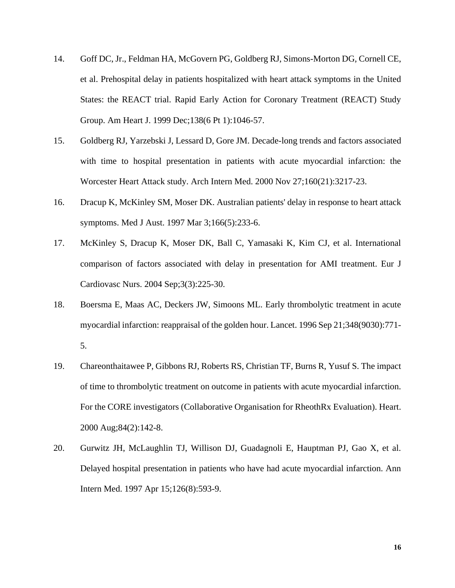- 14. Goff DC, Jr., Feldman HA, McGovern PG, Goldberg RJ, Simons-Morton DG, Cornell CE, et al. Prehospital delay in patients hospitalized with heart attack symptoms in the United States: the REACT trial. Rapid Early Action for Coronary Treatment (REACT) Study Group. Am Heart J. 1999 Dec;138(6 Pt 1):1046-57.
- 15. Goldberg RJ, Yarzebski J, Lessard D, Gore JM. Decade-long trends and factors associated with time to hospital presentation in patients with acute myocardial infarction: the Worcester Heart Attack study. Arch Intern Med. 2000 Nov 27;160(21):3217-23.
- 16. Dracup K, McKinley SM, Moser DK. Australian patients' delay in response to heart attack symptoms. Med J Aust. 1997 Mar 3;166(5):233-6.
- 17. McKinley S, Dracup K, Moser DK, Ball C, Yamasaki K, Kim CJ, et al. International comparison of factors associated with delay in presentation for AMI treatment. Eur J Cardiovasc Nurs. 2004 Sep;3(3):225-30.
- 18. Boersma E, Maas AC, Deckers JW, Simoons ML. Early thrombolytic treatment in acute myocardial infarction: reappraisal of the golden hour. Lancet. 1996 Sep 21;348(9030):771- 5.
- 19. Chareonthaitawee P, Gibbons RJ, Roberts RS, Christian TF, Burns R, Yusuf S. The impact of time to thrombolytic treatment on outcome in patients with acute myocardial infarction. For the CORE investigators (Collaborative Organisation for RheothRx Evaluation). Heart. 2000 Aug;84(2):142-8.
- 20. Gurwitz JH, McLaughlin TJ, Willison DJ, Guadagnoli E, Hauptman PJ, Gao X, et al. Delayed hospital presentation in patients who have had acute myocardial infarction. Ann Intern Med. 1997 Apr 15;126(8):593-9.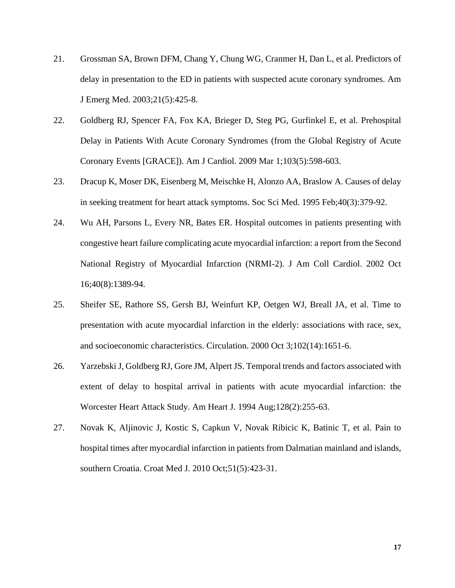- 21. Grossman SA, Brown DFM, Chang Y, Chung WG, Cranmer H, Dan L, et al. Predictors of delay in presentation to the ED in patients with suspected acute coronary syndromes. Am J Emerg Med. 2003;21(5):425-8.
- 22. Goldberg RJ, Spencer FA, Fox KA, Brieger D, Steg PG, Gurfinkel E, et al. Prehospital Delay in Patients With Acute Coronary Syndromes (from the Global Registry of Acute Coronary Events [GRACE]). Am J Cardiol. 2009 Mar 1;103(5):598-603.
- 23. Dracup K, Moser DK, Eisenberg M, Meischke H, Alonzo AA, Braslow A. Causes of delay in seeking treatment for heart attack symptoms. Soc Sci Med. 1995 Feb;40(3):379-92.
- 24. Wu AH, Parsons L, Every NR, Bates ER. Hospital outcomes in patients presenting with congestive heart failure complicating acute myocardial infarction: a report from the Second National Registry of Myocardial Infarction (NRMI-2). J Am Coll Cardiol. 2002 Oct 16;40(8):1389-94.
- 25. Sheifer SE, Rathore SS, Gersh BJ, Weinfurt KP, Oetgen WJ, Breall JA, et al. Time to presentation with acute myocardial infarction in the elderly: associations with race, sex, and socioeconomic characteristics. Circulation. 2000 Oct 3;102(14):1651-6.
- 26. Yarzebski J, Goldberg RJ, Gore JM, Alpert JS. Temporal trends and factors associated with extent of delay to hospital arrival in patients with acute myocardial infarction: the Worcester Heart Attack Study. Am Heart J. 1994 Aug;128(2):255-63.
- 27. Novak K, Aljinovic J, Kostic S, Capkun V, Novak Ribicic K, Batinic T, et al. Pain to hospital times after myocardial infarction in patients from Dalmatian mainland and islands, southern Croatia. Croat Med J. 2010 Oct;51(5):423-31.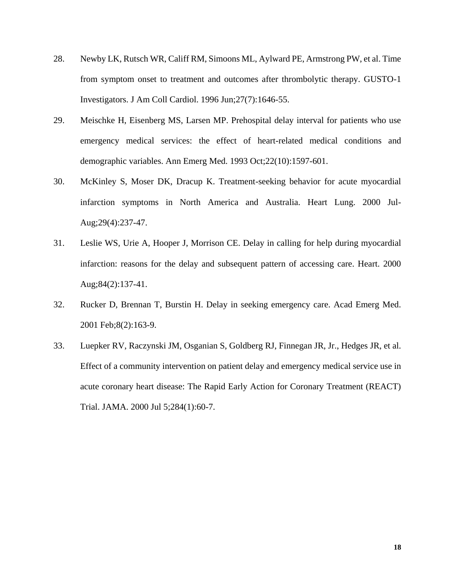- 28. Newby LK, Rutsch WR, Califf RM, Simoons ML, Aylward PE, Armstrong PW, et al. Time from symptom onset to treatment and outcomes after thrombolytic therapy. GUSTO-1 Investigators. J Am Coll Cardiol. 1996 Jun;27(7):1646-55.
- 29. Meischke H, Eisenberg MS, Larsen MP. Prehospital delay interval for patients who use emergency medical services: the effect of heart-related medical conditions and demographic variables. Ann Emerg Med. 1993 Oct;22(10):1597-601.
- 30. McKinley S, Moser DK, Dracup K. Treatment-seeking behavior for acute myocardial infarction symptoms in North America and Australia. Heart Lung. 2000 Jul-Aug;29(4):237-47.
- 31. Leslie WS, Urie A, Hooper J, Morrison CE. Delay in calling for help during myocardial infarction: reasons for the delay and subsequent pattern of accessing care. Heart. 2000 Aug;84(2):137-41.
- 32. Rucker D, Brennan T, Burstin H. Delay in seeking emergency care. Acad Emerg Med. 2001 Feb;8(2):163-9.
- 33. Luepker RV, Raczynski JM, Osganian S, Goldberg RJ, Finnegan JR, Jr., Hedges JR, et al. Effect of a community intervention on patient delay and emergency medical service use in acute coronary heart disease: The Rapid Early Action for Coronary Treatment (REACT) Trial. JAMA. 2000 Jul 5;284(1):60-7.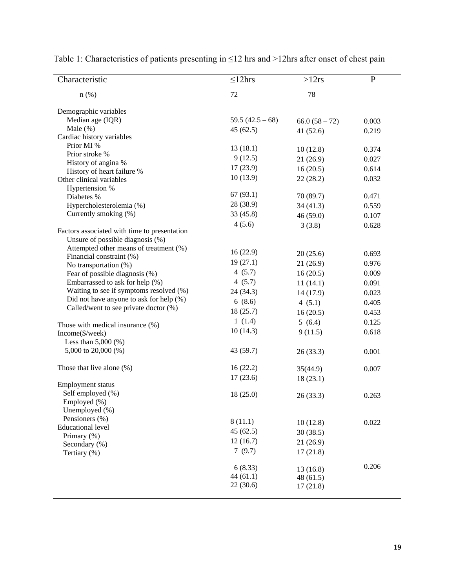| Characteristic                               | $\leq$ 12hrs       | >12rs            | $\mathbf{P}$ |
|----------------------------------------------|--------------------|------------------|--------------|
| $n$ (%)                                      | 72                 | 78               |              |
| Demographic variables                        |                    |                  |              |
| Median age (IQR)                             | 59.5 $(42.5 - 68)$ | $66.0 (58 - 72)$ | 0.003        |
| Male $(\%)$                                  | 45(62.5)           | 41(52.6)         | 0.219        |
| Cardiac history variables                    |                    |                  |              |
| Prior MI %                                   | 13(18.1)           | 10(12.8)         | 0.374        |
| Prior stroke %                               | 9(12.5)            | 21(26.9)         | 0.027        |
| History of angina %                          | 17(23.9)           |                  |              |
| History of heart failure %                   |                    | 16(20.5)         | 0.614        |
| Other clinical variables                     | 10(13.9)           | 22(28.2)         | 0.032        |
| Hypertension %                               | 67(93.1)           |                  |              |
| Diabetes %                                   | 28 (38.9)          | 70 (89.7)        | 0.471        |
| Hypercholesterolemia (%)                     |                    | 34(41.3)         | 0.559        |
| Currently smoking (%)                        | 33 (45.8)          | 46 (59.0)        | 0.107        |
| Factors associated with time to presentation | 4(5.6)             | 3(3.8)           | 0.628        |
| Unsure of possible diagnosis (%)             |                    |                  |              |
| Attempted other means of treatment (%)       |                    |                  |              |
| Financial constraint (%)                     | 16(22.9)           | 20(25.6)         | 0.693        |
| No transportation (%)                        | 19(27.1)           | 21(26.9)         | 0.976        |
| Fear of possible diagnosis (%)               | 4(5.7)             | 16(20.5)         | 0.009        |
| Embarrassed to ask for help (%)              | 4(5.7)             | 11(14.1)         | 0.091        |
| Waiting to see if symptoms resolved (%)      | 24 (34.3)          | 14 (17.9)        | 0.023        |
| Did not have anyone to ask for help (%)      | 6(8.6)             | 4(5.1)           | 0.405        |
| Called/went to see private doctor (%)        | 18(25.7)           | 16(20.5)         | 0.453        |
|                                              | 1(1.4)             |                  |              |
| Those with medical insurance (%)             |                    | 5(6.4)           | 0.125        |
| Income(\$/week)                              | 10(14.3)           | 9(11.5)          | 0.618        |
| Less than $5,000$ (%)                        |                    |                  |              |
| 5,000 to 20,000 (%)                          | 43 (59.7)          | 26(33.3)         | 0.001        |
| Those that live alone $(\%)$                 | 16(22.2)           | 35(44.9)         | 0.007        |
|                                              | 17(23.6)           | 18(23.1)         |              |
| Employment status                            |                    |                  |              |
| Self employed (%)                            | 18(25.0)           | 26(33.3)         | 0.263        |
| Employed (%)                                 |                    |                  |              |
| Unemployed (%)                               |                    |                  |              |
| Pensioners (%)                               | 8(11.1)            | 10(12.8)         | 0.022        |
| <b>Educational level</b>                     | 45(62.5)           | 30(38.5)         |              |
| Primary (%)<br>Secondary (%)                 | 12(16.7)           | 21(26.9)         |              |
| Tertiary (%)                                 | 7(9.7)             | 17(21.8)         |              |
|                                              |                    |                  |              |
|                                              | 6(8.33)            | 13(16.8)         | 0.206        |
|                                              | 44(61.1)           | 48(61.5)         |              |
|                                              | 22(30.6)           | 17(21.8)         |              |
|                                              |                    |                  |              |

Table 1: Characteristics of patients presenting in ≤12 hrs and >12hrs after onset of chest pain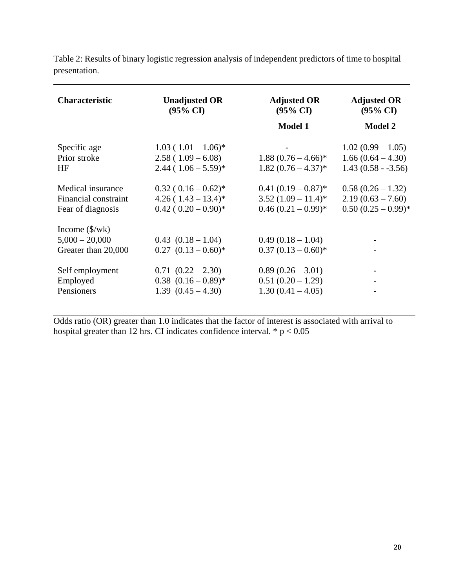| <b>Characteristic</b>                                               | <b>Unadjusted OR</b>                                              | <b>Adjusted OR</b>                           | <b>Adjusted OR</b>                                                |
|---------------------------------------------------------------------|-------------------------------------------------------------------|----------------------------------------------|-------------------------------------------------------------------|
|                                                                     | $(95\% \text{ CI})$                                               | $(95\% \text{ CI})$                          | $(95\% \text{ CI})$                                               |
|                                                                     |                                                                   | <b>Model 1</b>                               | <b>Model 2</b>                                                    |
| Specific age<br>Prior stroke<br>HF                                  | $1.03(1.01-1.06)^*$<br>$2.58(1.09-6.08)$<br>$2.44(1.06-5.59)^{*}$ | $1.88(0.76-4.66)^*$<br>$1.82(0.76-4.37)^{*}$ | $1.02(0.99 - 1.05)$<br>$1.66(0.64 - 4.30)$<br>$1.43(0.58 - 3.56)$ |
| Medical insurance                                                   | $0.32(0.16-0.62)^*$                                               | $0.41(0.19-0.87)^*$                          | $0.58(0.26-1.32)$                                                 |
| Financial constraint                                                | $4.26(1.43-13.4)^{*}$                                             | $3.52(1.09-11.4)^*$                          | $2.19(0.63 - 7.60)$                                               |
| Fear of diagnosis                                                   | $0.42(0.20-0.90)$ *                                               | $0.46(0.21-0.99)^{*}$                        | $0.50(0.25-0.99)*$                                                |
| Income $(\frac{1}{2}wk)$<br>$5,000 - 20,000$<br>Greater than 20,000 | $0.43$ $(0.18-1.04)$<br>$0.27$ $(0.13-0.60)$ *                    | $0.49(0.18-1.04)$<br>$0.37(0.13-0.60)*$      |                                                                   |
| Self employment                                                     | $0.71(0.22-2.30)$                                                 | $0.89(0.26-3.01)$                            |                                                                   |
| Employed                                                            | $0.38$ $(0.16-0.89)$ *                                            | $0.51(0.20-1.29)$                            |                                                                   |
| Pensioners                                                          | $1.39(0.45-4.30)$                                                 | $1.30(0.41 - 4.05)$                          |                                                                   |

Table 2: Results of binary logistic regression analysis of independent predictors of time to hospital presentation.

Odds ratio (OR) greater than 1.0 indicates that the factor of interest is associated with arrival to hospital greater than 12 hrs. CI indicates confidence interval.  $* p < 0.05$